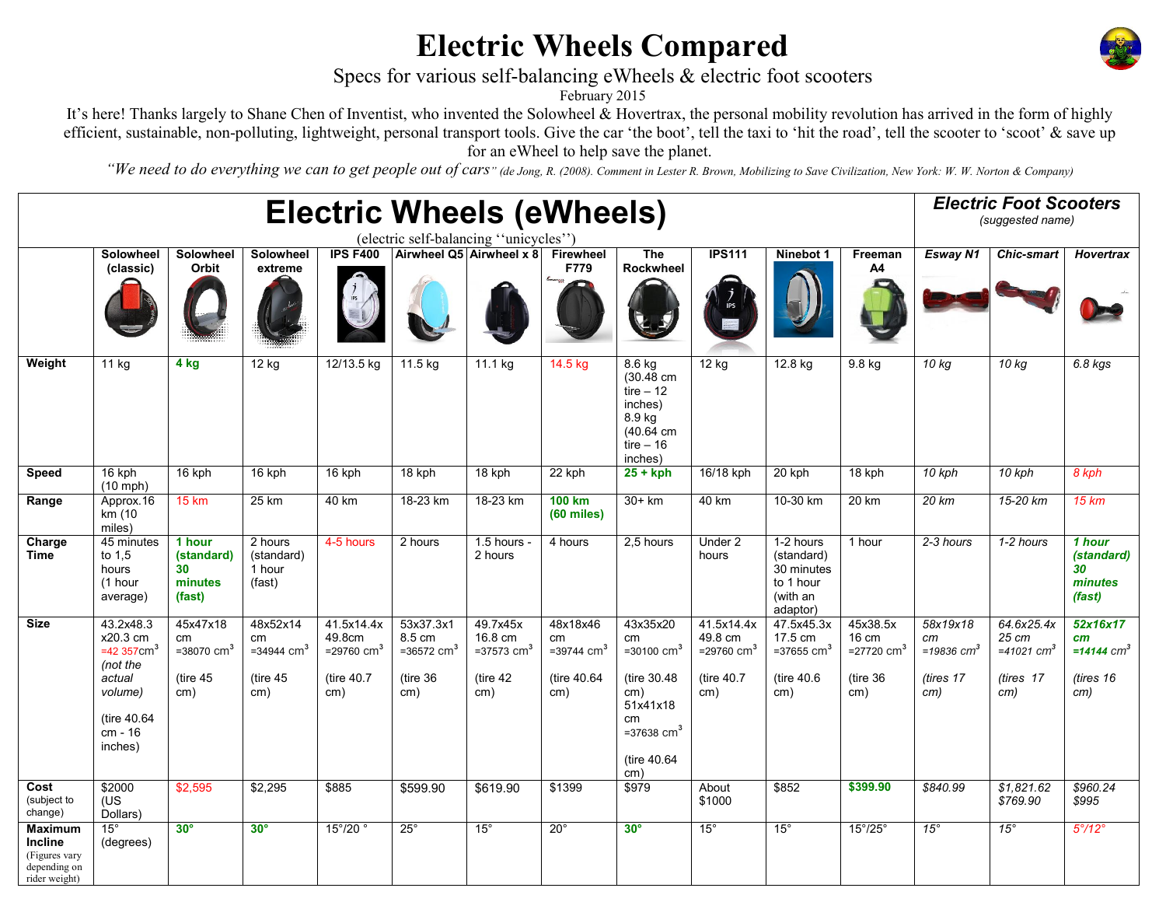## Electric Wheels Compared



## Specs for various self-balancing eWheels & electric foot scooters

February 2015

It's here! Thanks largely to Shane Chen of Inventist, who invented the Solowheel & Hovertrax, the personal mobility revolution has arrived in the form of highly efficient, sustainable, non-polluting, lightweight, personal transport tools. Give the car 'the boot', tell the taxi to 'hit the road', tell the scooter to 'scoot' & save up for an eWheel to help save the planet.

"We need to do everything we can to get people out of cars" (de Jong, R. (2008). Comment in Lester R. Brown, Mobilizing to Save Civilization, New York: W. W. Norton & Company)

| <b>Electric Wheels (eWheels)</b><br>(electric self-balancing "unicycles")          |                                                                                                                          |                                                                  |                                                                  |                                                                        |                                                                      |                                                                       |                                                                   |                                                                                                                                       |                                                                         |                                                                            |                                                                    | <b>Electric Foot Scooters</b><br>(suggested name)  |                                                                     |                                                                 |
|------------------------------------------------------------------------------------|--------------------------------------------------------------------------------------------------------------------------|------------------------------------------------------------------|------------------------------------------------------------------|------------------------------------------------------------------------|----------------------------------------------------------------------|-----------------------------------------------------------------------|-------------------------------------------------------------------|---------------------------------------------------------------------------------------------------------------------------------------|-------------------------------------------------------------------------|----------------------------------------------------------------------------|--------------------------------------------------------------------|----------------------------------------------------|---------------------------------------------------------------------|-----------------------------------------------------------------|
|                                                                                    | Solowheel<br>(classic)                                                                                                   | <b>Solowheel</b><br>Orbit                                        | <b>Solowheel</b><br>extreme                                      | <b>IPS F400</b>                                                        |                                                                      | Airwheel Q5 Airwheel x 8                                              | <b>Firewheel</b><br>F779                                          | <b>The</b><br><b>Rockwheel</b>                                                                                                        | <b>IPS111</b>                                                           | Ninebot 1                                                                  | Freeman<br>A4                                                      | <b>Esway N1</b>                                    | <b>Chic-smart</b>                                                   | <b>Hovertrax</b>                                                |
| Weight                                                                             | 11 kg                                                                                                                    | 4 kg                                                             | 12 kg                                                            | 12/13.5 kg                                                             | $11.5$ kg                                                            | 11.1 kg                                                               | 14.5 kg                                                           | $8.6$ kg<br>$(30.48 \text{ cm})$<br>tire $-12$<br>inches)<br>8.9 kg<br>(40.64 cm)<br>tire $-16$<br>inches)                            | 12 kg                                                                   | 12.8 kg                                                                    | $9.8$ kg                                                           | 10 kg                                              | 10 kg                                                               | 6.8 kgs                                                         |
| <b>Speed</b>                                                                       | 16 kph<br>$(10$ mph)                                                                                                     | 16 kph                                                           | 16 kph                                                           | 16 kph                                                                 | 18 kph                                                               | 18 kph                                                                | 22 kph                                                            | $25 + kph$                                                                                                                            | 16/18 kph                                                               | 20 kph                                                                     | 18 kph                                                             | $10$ kph                                           | 10 kph                                                              | 8 kph                                                           |
| Range                                                                              | Approx.16<br>km (10<br>miles)                                                                                            | <b>15 km</b>                                                     | 25 km                                                            | 40 km                                                                  | 18-23 km                                                             | 18-23 km                                                              | <b>100 km</b><br>$(60$ miles)                                     | $30+km$                                                                                                                               | 40 km                                                                   | 10-30 km                                                                   | 20 km                                                              | 20 km                                              | 15-20 km                                                            | 15 km                                                           |
| Charge<br><b>Time</b>                                                              | 45 minutes<br>to $1.5$<br>hours<br>(1 hour<br>average)                                                                   | 1 hour<br>(standard)<br>30<br>minutes<br>(fast)                  | 2 hours<br>(standard)<br>1 hour<br>(fast)                        | 4-5 hours                                                              | 2 hours                                                              | 1.5 hours<br>2 hours                                                  | 4 hours                                                           | $2,5$ hours                                                                                                                           | Under 2<br>hours                                                        | 1-2 hours<br>(standard)<br>30 minutes<br>to 1 hour<br>(with an<br>adaptor) | 1 hour                                                             | 2-3 hours                                          | 1-2 hours                                                           | 1 hour<br>(standard)<br>30<br>minutes<br>(fast)                 |
| <b>Size</b>                                                                        | 43.2x48.3<br>x20.3 cm<br>$=42$ 357cm <sup>3</sup><br>(not the<br>actual<br>volume)<br>(tire 40.64)<br>cm - 16<br>inches) | 45x47x18<br>cm<br>$= 38070$ cm <sup>3</sup><br>(tire $45$<br>cm) | 48x52x14<br>cm<br>$=$ 34944 cm <sup>3</sup><br>(tire $45$<br>cm) | 41.5x14.4x<br>49.8cm<br>$= 29760 \, \text{cm}^3$<br>(tire 40.7)<br>cm) | 53x37.3x1<br>8.5 cm<br>$= 36572$ cm <sup>3</sup><br>(tire 36)<br>cm) | 49.7x45x<br>16.8 cm<br>$= 37573$ cm <sup>3</sup><br>(tire $42$<br>cm) | 48x18x46<br>cm<br>$= 39744$ cm <sup>3</sup><br>(tire 40.64<br>cm) | 43x35x20<br>cm<br>$= 30100 \text{ cm}^3$<br>(tire 30.48)<br>cm)<br>51x41x18<br>cm<br>$= 37638$ cm <sup>3</sup><br>(tire 40.64)<br>cm) | 41.5x14.4x<br>49.8 cm<br>$= 29760$ cm <sup>3</sup><br>(tire 40.7<br>cm) | 47.5x45.3x<br>17.5 cm<br>=37655 $cm3$<br>(tire 40.6)<br>cm)                | 45x38.5x<br>16 cm<br>$= 27720$ cm <sup>3</sup><br>(tire 36)<br>cm) | 58x19x18<br>сm<br>=19836 $cm3$<br>(tires 17<br>cm) | 64.6x25.4x<br>25 cm<br>$=41021$ cm <sup>3</sup><br>(tires 17<br>cm) | 52x16x17<br>cm<br>$= 14144$ cm <sup>3</sup><br>(tires 16<br>cm) |
| Cost<br>(subject to<br>change)                                                     | \$2000<br>(US<br>Dollars)                                                                                                | \$2.595                                                          | \$2,295                                                          | \$885                                                                  | \$599.90                                                             | \$619.90                                                              | \$1399                                                            | \$979                                                                                                                                 | About<br>\$1000                                                         | \$852                                                                      | \$399.90                                                           | \$840.99                                           | \$1,821.62<br>\$769.90                                              | \$960.24<br>\$995                                               |
| <b>Maximum</b><br><b>Incline</b><br>(Figures vary<br>depending on<br>rider weight) | $15^{\circ}$<br>(degrees)                                                                                                | $30^\circ$                                                       | $30^\circ$                                                       | 15°/20 °                                                               | $25^\circ$                                                           | $15^{\circ}$                                                          | $20^{\circ}$                                                      | $30^\circ$                                                                                                                            | $15^{\circ}$                                                            | $15^{\circ}$                                                               | $15^{\circ}/25^{\circ}$                                            | $15^{\circ}$                                       | $15^{\circ}$                                                        | $5^{\circ}/12^{\circ}$                                          |